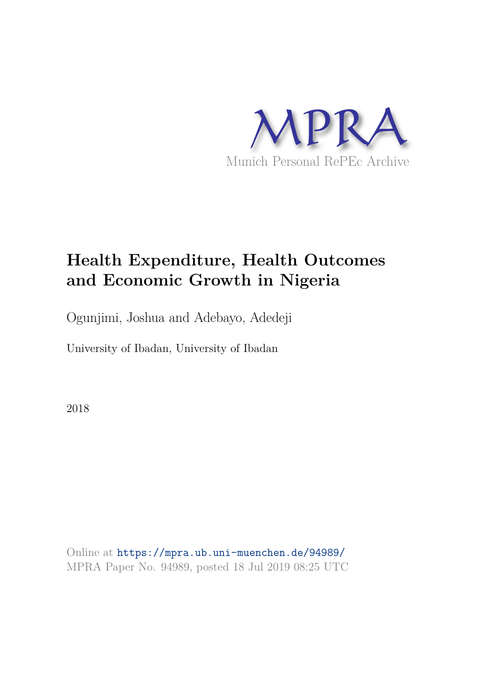

# **Health Expenditure, Health Outcomes and Economic Growth in Nigeria**

Ogunjimi, Joshua and Adebayo, Adedeji

University of Ibadan, University of Ibadan

2018

Online at https://mpra.ub.uni-muenchen.de/94989/ MPRA Paper No. 94989, posted 18 Jul 2019 08:25 UTC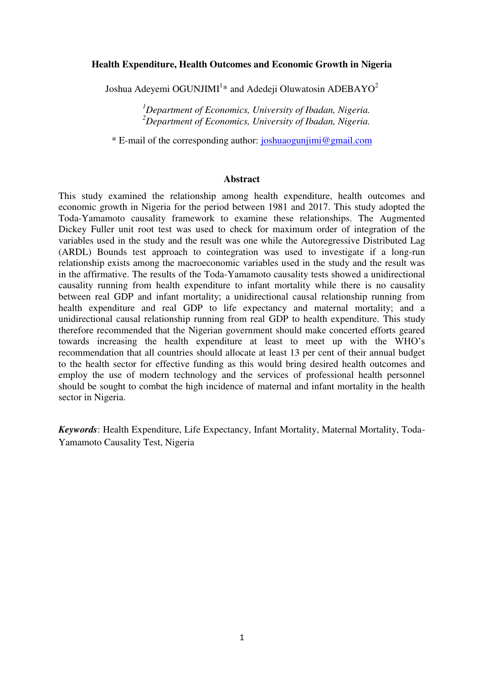#### **Health Expenditure, Health Outcomes and Economic Growth in Nigeria**

Joshua Adeyemi OGUNJIMI $^{1\ast}$  and Adedeji Oluwatosin ADEBAYO $^{2}$ 

*<sup>1</sup>Department of Economics, University of Ibadan, Nigeria. <sup>2</sup>Department of Economics, University of Ibadan, Nigeria.* 

\* E-mail of the corresponding author: [joshuaogunjimi@gmail.com](mailto:joshuaogunjimi@gmail.com) 

#### **Abstract**

This study examined the relationship among health expenditure, health outcomes and economic growth in Nigeria for the period between 1981 and 2017. This study adopted the Toda-Yamamoto causality framework to examine these relationships. The Augmented Dickey Fuller unit root test was used to check for maximum order of integration of the variables used in the study and the result was one while the Autoregressive Distributed Lag (ARDL) Bounds test approach to cointegration was used to investigate if a long-run relationship exists among the macroeconomic variables used in the study and the result was in the affirmative. The results of the Toda-Yamamoto causality tests showed a unidirectional causality running from health expenditure to infant mortality while there is no causality between real GDP and infant mortality; a unidirectional causal relationship running from health expenditure and real GDP to life expectancy and maternal mortality; and a unidirectional causal relationship running from real GDP to health expenditure. This study therefore recommended that the Nigerian government should make concerted efforts geared towards increasing the health expenditure at least to meet up with the WHO"s recommendation that all countries should allocate at least 13 per cent of their annual budget to the health sector for effective funding as this would bring desired health outcomes and employ the use of modern technology and the services of professional health personnel should be sought to combat the high incidence of maternal and infant mortality in the health sector in Nigeria.

*Keywords*: Health Expenditure, Life Expectancy, Infant Mortality, Maternal Mortality, Toda-Yamamoto Causality Test, Nigeria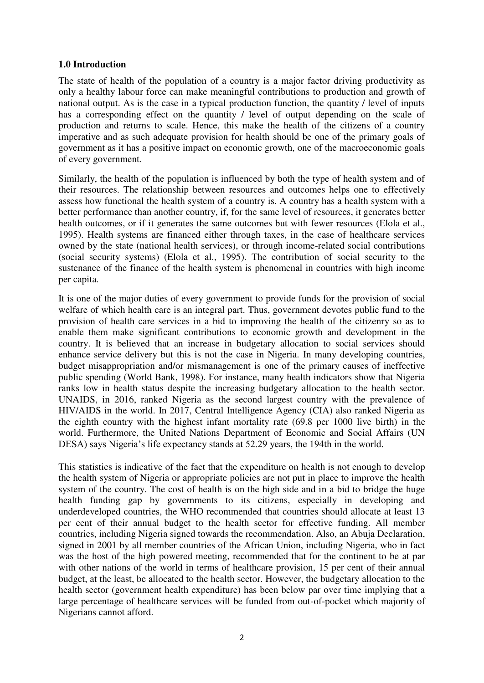## **1.0 Introduction**

The state of health of the population of a country is a major factor driving productivity as only a healthy labour force can make meaningful contributions to production and growth of national output. As is the case in a typical production function, the quantity / level of inputs has a corresponding effect on the quantity / level of output depending on the scale of production and returns to scale. Hence, this make the health of the citizens of a country imperative and as such adequate provision for health should be one of the primary goals of government as it has a positive impact on economic growth, one of the macroeconomic goals of every government.

Similarly, the health of the population is influenced by both the type of health system and of their resources. The relationship between resources and outcomes helps one to effectively assess how functional the health system of a country is. A country has a health system with a better performance than another country, if, for the same level of resources, it generates better health outcomes, or if it generates the same outcomes but with fewer resources (Elola et al., 1995). Health systems are financed either through taxes, in the case of healthcare services owned by the state (national health services), or through income-related social contributions (social security systems) (Elola et al., 1995). The contribution of social security to the sustenance of the finance of the health system is phenomenal in countries with high income per capita.

It is one of the major duties of every government to provide funds for the provision of social welfare of which health care is an integral part. Thus, government devotes public fund to the provision of health care services in a bid to improving the health of the citizenry so as to enable them make significant contributions to economic growth and development in the country. It is believed that an increase in budgetary allocation to social services should enhance service delivery but this is not the case in Nigeria. In many developing countries, budget misappropriation and/or mismanagement is one of the primary causes of ineffective public spending (World Bank, 1998). For instance, many health indicators show that Nigeria ranks low in health status despite the increasing budgetary allocation to the health sector. UNAIDS, in 2016, ranked Nigeria as the second largest country with the prevalence of HIV/AIDS in the world. In 2017, Central Intelligence Agency (CIA) also ranked Nigeria as the eighth country with the highest infant mortality rate (69.8 per 1000 live birth) in the world. Furthermore, the United Nations Department of Economic and Social Affairs (UN DESA) says Nigeria's life expectancy stands at 52.29 years, the 194th in the world.

This statistics is indicative of the fact that the expenditure on health is not enough to develop the health system of Nigeria or appropriate policies are not put in place to improve the health system of the country. The cost of health is on the high side and in a bid to bridge the huge health funding gap by governments to its citizens, especially in developing and underdeveloped countries, the WHO recommended that countries should allocate at least 13 per cent of their annual budget to the health sector for effective funding. All member countries, including Nigeria signed towards the recommendation. Also, an Abuja Declaration, signed in 2001 by all member countries of the African Union, including Nigeria, who in fact was the host of the high powered meeting, recommended that for the continent to be at par with other nations of the world in terms of healthcare provision, 15 per cent of their annual budget, at the least, be allocated to the health sector. However, the budgetary allocation to the health sector (government health expenditure) has been below par over time implying that a large percentage of healthcare services will be funded from out-of-pocket which majority of Nigerians cannot afford.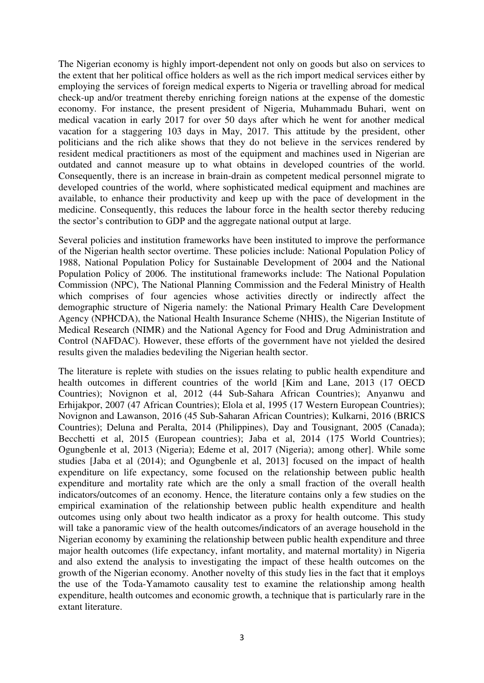The Nigerian economy is highly import-dependent not only on goods but also on services to the extent that her political office holders as well as the rich import medical services either by employing the services of foreign medical experts to Nigeria or travelling abroad for medical check-up and/or treatment thereby enriching foreign nations at the expense of the domestic economy. For instance, the present president of Nigeria, Muhammadu Buhari, went on medical vacation in early 2017 for over 50 days after which he went for another medical vacation for a staggering 103 days in May, 2017. This attitude by the president, other politicians and the rich alike shows that they do not believe in the services rendered by resident medical practitioners as most of the equipment and machines used in Nigerian are outdated and cannot measure up to what obtains in developed countries of the world. Consequently, there is an increase in brain-drain as competent medical personnel migrate to developed countries of the world, where sophisticated medical equipment and machines are available, to enhance their productivity and keep up with the pace of development in the medicine. Consequently, this reduces the labour force in the health sector thereby reducing the sector"s contribution to GDP and the aggregate national output at large.

Several policies and institution frameworks have been instituted to improve the performance of the Nigerian health sector overtime. These policies include: National Population Policy of 1988, National Population Policy for Sustainable Development of 2004 and the National Population Policy of 2006. The institutional frameworks include: The National Population Commission (NPC), The National Planning Commission and the Federal Ministry of Health which comprises of four agencies whose activities directly or indirectly affect the demographic structure of Nigeria namely: the National Primary Health Care Development Agency (NPHCDA), the National Health Insurance Scheme (NHIS), the Nigerian Institute of Medical Research (NIMR) and the National Agency for Food and Drug Administration and Control (NAFDAC). However, these efforts of the government have not yielded the desired results given the maladies bedeviling the Nigerian health sector.

The literature is replete with studies on the issues relating to public health expenditure and health outcomes in different countries of the world [Kim and Lane, 2013 (17 OECD Countries); Novignon et al, 2012 (44 Sub-Sahara African Countries); Anyanwu and Erhijakpor, 2007 (47 African Countries); Elola et al, 1995 (17 Western European Countries); Novignon and Lawanson, 2016 (45 Sub-Saharan African Countries); Kulkarni, 2016 (BRICS Countries); Deluna and Peralta, 2014 (Philippines), Day and Tousignant, 2005 (Canada); Becchetti et al, 2015 (European countries); Jaba et al, 2014 (175 World Countries); Ogungbenle et al, 2013 (Nigeria); Edeme et al, 2017 (Nigeria); among other]. While some studies [Jaba et al (2014); and Ogungbenle et al, 2013] focused on the impact of health expenditure on life expectancy, some focused on the relationship between public health expenditure and mortality rate which are the only a small fraction of the overall health indicators/outcomes of an economy. Hence, the literature contains only a few studies on the empirical examination of the relationship between public health expenditure and health outcomes using only about two health indicator as a proxy for health outcome. This study will take a panoramic view of the health outcomes/indicators of an average household in the Nigerian economy by examining the relationship between public health expenditure and three major health outcomes (life expectancy, infant mortality, and maternal mortality) in Nigeria and also extend the analysis to investigating the impact of these health outcomes on the growth of the Nigerian economy. Another novelty of this study lies in the fact that it employs the use of the Toda-Yamamoto causality test to examine the relationship among health expenditure, health outcomes and economic growth, a technique that is particularly rare in the extant literature.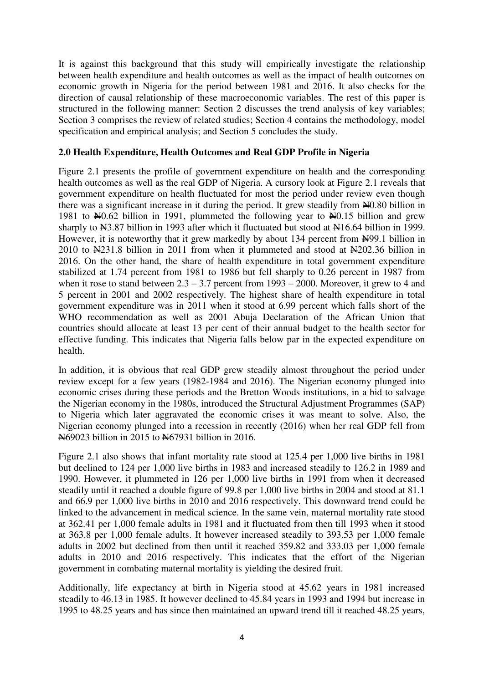It is against this background that this study will empirically investigate the relationship between health expenditure and health outcomes as well as the impact of health outcomes on economic growth in Nigeria for the period between 1981 and 2016. It also checks for the direction of causal relationship of these macroeconomic variables. The rest of this paper is structured in the following manner: Section 2 discusses the trend analysis of key variables; Section 3 comprises the review of related studies; Section 4 contains the methodology, model specification and empirical analysis; and Section 5 concludes the study.

## **2.0 Health Expenditure, Health Outcomes and Real GDP Profile in Nigeria**

Figure 2.1 presents the profile of government expenditure on health and the corresponding health outcomes as well as the real GDP of Nigeria. A cursory look at Figure 2.1 reveals that government expenditure on health fluctuated for most the period under review even though there was a significant increase in it during the period. It grew steadily from  $\text{\textsterling}0.80$  billion in 1981 to  $N=0.62$  billion in 1991, plummeted the following year to  $N=0.15$  billion and grew sharply to N3.87 billion in 1993 after which it fluctuated but stood at N16.64 billion in 1999. However, it is noteworthy that it grew markedly by about 134 percent from  $\frac{N}{99}$ . billion in 2010 to N231.8 billion in 2011 from when it plummeted and stood at N202.36 billion in 2016. On the other hand, the share of health expenditure in total government expenditure stabilized at 1.74 percent from 1981 to 1986 but fell sharply to 0.26 percent in 1987 from when it rose to stand between  $2.3 - 3.7$  percent from  $1993 - 2000$ . Moreover, it grew to 4 and 5 percent in 2001 and 2002 respectively. The highest share of health expenditure in total government expenditure was in 2011 when it stood at 6.99 percent which falls short of the WHO recommendation as well as 2001 Abuja Declaration of the African Union that countries should allocate at least 13 per cent of their annual budget to the health sector for effective funding. This indicates that Nigeria falls below par in the expected expenditure on health.

In addition, it is obvious that real GDP grew steadily almost throughout the period under review except for a few years (1982-1984 and 2016). The Nigerian economy plunged into economic crises during these periods and the Bretton Woods institutions, in a bid to salvage the Nigerian economy in the 1980s, introduced the Structural Adjustment Programmes (SAP) to Nigeria which later aggravated the economic crises it was meant to solve. Also, the Nigerian economy plunged into a recession in recently (2016) when her real GDP fell from N69023 billion in 2015 to N67931 billion in 2016.

Figure 2.1 also shows that infant mortality rate stood at 125.4 per 1,000 live births in 1981 but declined to 124 per 1,000 live births in 1983 and increased steadily to 126.2 in 1989 and 1990. However, it plummeted in 126 per 1,000 live births in 1991 from when it decreased steadily until it reached a double figure of 99.8 per 1,000 live births in 2004 and stood at 81.1 and 66.9 per 1,000 live births in 2010 and 2016 respectively. This downward trend could be linked to the advancement in medical science. In the same vein, maternal mortality rate stood at 362.41 per 1,000 female adults in 1981 and it fluctuated from then till 1993 when it stood at 363.8 per 1,000 female adults. It however increased steadily to 393.53 per 1,000 female adults in 2002 but declined from then until it reached 359.82 and 333.03 per 1,000 female adults in 2010 and 2016 respectively. This indicates that the effort of the Nigerian government in combating maternal mortality is yielding the desired fruit.

Additionally, life expectancy at birth in Nigeria stood at 45.62 years in 1981 increased steadily to 46.13 in 1985. It however declined to 45.84 years in 1993 and 1994 but increase in 1995 to 48.25 years and has since then maintained an upward trend till it reached 48.25 years,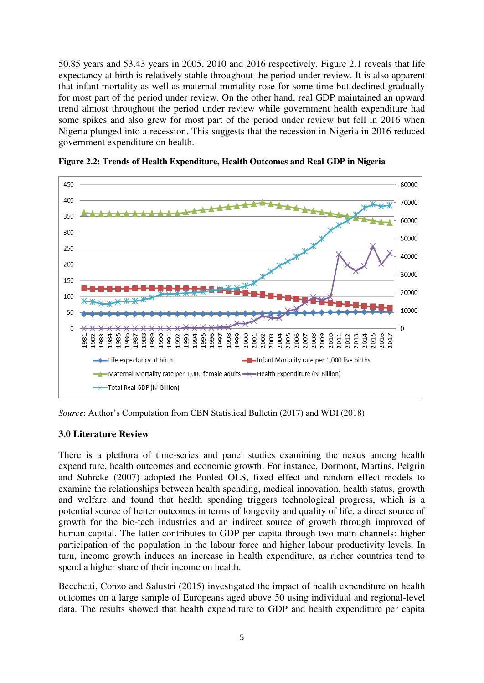50.85 years and 53.43 years in 2005, 2010 and 2016 respectively. Figure 2.1 reveals that life expectancy at birth is relatively stable throughout the period under review. It is also apparent that infant mortality as well as maternal mortality rose for some time but declined gradually for most part of the period under review. On the other hand, real GDP maintained an upward trend almost throughout the period under review while government health expenditure had some spikes and also grew for most part of the period under review but fell in 2016 when Nigeria plunged into a recession. This suggests that the recession in Nigeria in 2016 reduced government expenditure on health.





*Source*: Author's Computation from CBN Statistical Bulletin (2017) and WDI (2018)

## **3.0 Literature Review**

There is a plethora of time-series and panel studies examining the nexus among health expenditure, health outcomes and economic growth. For instance, Dormont, Martins, Pelgrin and Suhrcke (2007) adopted the Pooled OLS, fixed effect and random effect models to examine the relationships between health spending, medical innovation, health status, growth and welfare and found that health spending triggers technological progress, which is a potential source of better outcomes in terms of longevity and quality of life, a direct source of growth for the bio-tech industries and an indirect source of growth through improved of human capital. The latter contributes to GDP per capita through two main channels: higher participation of the population in the labour force and higher labour productivity levels. In turn, income growth induces an increase in health expenditure, as richer countries tend to spend a higher share of their income on health.

Becchetti, Conzo and Salustri (2015) investigated the impact of health expenditure on health outcomes on a large sample of Europeans aged above 50 using individual and regional-level data. The results showed that health expenditure to GDP and health expenditure per capita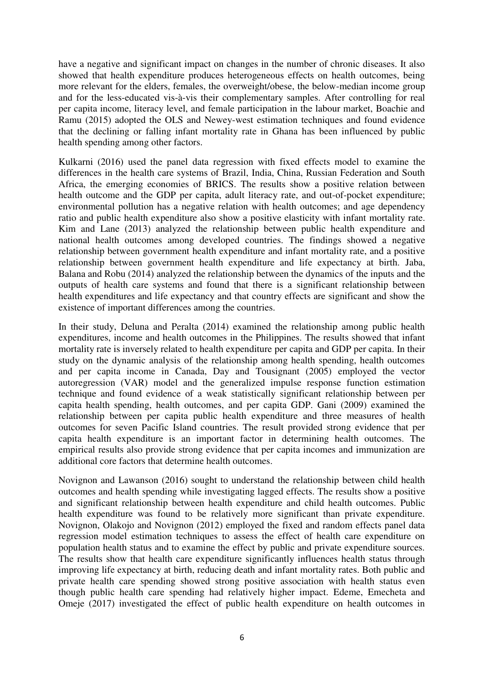have a negative and significant impact on changes in the number of chronic diseases. It also showed that health expenditure produces heterogeneous effects on health outcomes, being more relevant for the elders, females, the overweight/obese, the below-median income group and for the less-educated vis-à-vis their complementary samples. After controlling for real per capita income, literacy level, and female participation in the labour market, Boachie and Ramu (2015) adopted the OLS and Newey-west estimation techniques and found evidence that the declining or falling infant mortality rate in Ghana has been influenced by public health spending among other factors.

Kulkarni (2016) used the panel data regression with fixed effects model to examine the differences in the health care systems of Brazil, India, China, Russian Federation and South Africa, the emerging economies of BRICS. The results show a positive relation between health outcome and the GDP per capita, adult literacy rate, and out-of-pocket expenditure; environmental pollution has a negative relation with health outcomes; and age dependency ratio and public health expenditure also show a positive elasticity with infant mortality rate. Kim and Lane (2013) analyzed the relationship between public health expenditure and national health outcomes among developed countries. The findings showed a negative relationship between government health expenditure and infant mortality rate, and a positive relationship between government health expenditure and life expectancy at birth. Jaba, Balana and Robu (2014) analyzed the relationship between the dynamics of the inputs and the outputs of health care systems and found that there is a significant relationship between health expenditures and life expectancy and that country effects are significant and show the existence of important differences among the countries.

In their study, Deluna and Peralta (2014) examined the relationship among public health expenditures, income and health outcomes in the Philippines. The results showed that infant mortality rate is inversely related to health expenditure per capita and GDP per capita. In their study on the dynamic analysis of the relationship among health spending, health outcomes and per capita income in Canada, Day and Tousignant (2005) employed the vector autoregression (VAR) model and the generalized impulse response function estimation technique and found evidence of a weak statistically significant relationship between per capita health spending, health outcomes, and per capita GDP. Gani (2009) examined the relationship between per capita public health expenditure and three measures of health outcomes for seven Pacific Island countries. The result provided strong evidence that per capita health expenditure is an important factor in determining health outcomes. The empirical results also provide strong evidence that per capita incomes and immunization are additional core factors that determine health outcomes.

Novignon and Lawanson (2016) sought to understand the relationship between child health outcomes and health spending while investigating lagged effects. The results show a positive and significant relationship between health expenditure and child health outcomes. Public health expenditure was found to be relatively more significant than private expenditure. Novignon, Olakojo and Novignon (2012) employed the fixed and random effects panel data regression model estimation techniques to assess the effect of health care expenditure on population health status and to examine the effect by public and private expenditure sources. The results show that health care expenditure significantly influences health status through improving life expectancy at birth, reducing death and infant mortality rates. Both public and private health care spending showed strong positive association with health status even though public health care spending had relatively higher impact. Edeme, Emecheta and Omeje (2017) investigated the effect of public health expenditure on health outcomes in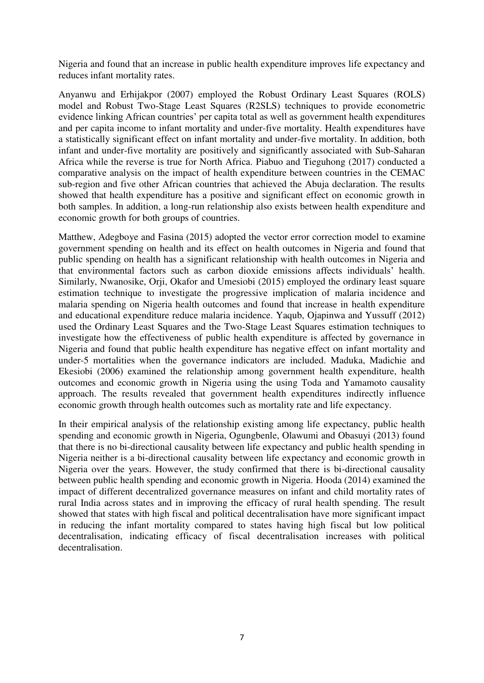Nigeria and found that an increase in public health expenditure improves life expectancy and reduces infant mortality rates.

Anyanwu and Erhijakpor (2007) employed the Robust Ordinary Least Squares (ROLS) model and Robust Two-Stage Least Squares (R2SLS) techniques to provide econometric evidence linking African countries' per capita total as well as government health expenditures and per capita income to infant mortality and under-five mortality. Health expenditures have a statistically significant effect on infant mortality and under-five mortality. In addition, both infant and under-five mortality are positively and significantly associated with Sub-Saharan Africa while the reverse is true for North Africa. Piabuo and Tieguhong (2017) conducted a comparative analysis on the impact of health expenditure between countries in the CEMAC sub-region and five other African countries that achieved the Abuja declaration. The results showed that health expenditure has a positive and significant effect on economic growth in both samples. In addition, a long-run relationship also exists between health expenditure and economic growth for both groups of countries.

Matthew, Adegboye and Fasina (2015) adopted the vector error correction model to examine government spending on health and its effect on health outcomes in Nigeria and found that public spending on health has a significant relationship with health outcomes in Nigeria and that environmental factors such as carbon dioxide emissions affects individuals" health. Similarly, Nwanosike, Orji, Okafor and Umesiobi (2015) employed the ordinary least square estimation technique to investigate the progressive implication of malaria incidence and malaria spending on Nigeria health outcomes and found that increase in health expenditure and educational expenditure reduce malaria incidence. Yaqub, Ojapinwa and Yussuff (2012) used the Ordinary Least Squares and the Two-Stage Least Squares estimation techniques to investigate how the effectiveness of public health expenditure is affected by governance in Nigeria and found that public health expenditure has negative effect on infant mortality and under-5 mortalities when the governance indicators are included. Maduka, Madichie and Ekesiobi (2006) examined the relationship among government health expenditure, health outcomes and economic growth in Nigeria using the using Toda and Yamamoto causality approach. The results revealed that government health expenditures indirectly influence economic growth through health outcomes such as mortality rate and life expectancy.

In their empirical analysis of the relationship existing among life expectancy, public health spending and economic growth in Nigeria, Ogungbenle, Olawumi and Obasuyi (2013) found that there is no bi-directional causality between life expectancy and public health spending in Nigeria neither is a bi-directional causality between life expectancy and economic growth in Nigeria over the years. However, the study confirmed that there is bi-directional causality between public health spending and economic growth in Nigeria. Hooda (2014) examined the impact of different decentralized governance measures on infant and child mortality rates of rural India across states and in improving the efficacy of rural health spending. The result showed that states with high fiscal and political decentralisation have more significant impact in reducing the infant mortality compared to states having high fiscal but low political decentralisation, indicating efficacy of fiscal decentralisation increases with political decentralisation.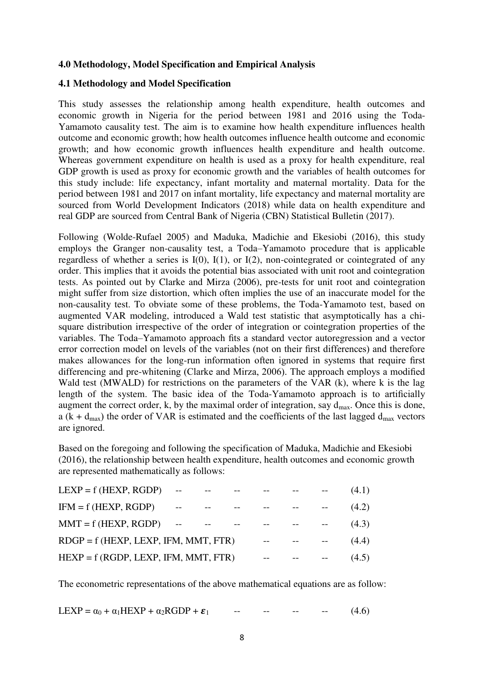## **4.0 Methodology, Model Specification and Empirical Analysis**

## **4.1 Methodology and Model Specification**

This study assesses the relationship among health expenditure, health outcomes and economic growth in Nigeria for the period between 1981 and 2016 using the Toda-Yamamoto causality test. The aim is to examine how health expenditure influences health outcome and economic growth; how health outcomes influence health outcome and economic growth; and how economic growth influences health expenditure and health outcome. Whereas government expenditure on health is used as a proxy for health expenditure, real GDP growth is used as proxy for economic growth and the variables of health outcomes for this study include: life expectancy, infant mortality and maternal mortality. Data for the period between 1981 and 2017 on infant mortality, life expectancy and maternal mortality are sourced from World Development Indicators (2018) while data on health expenditure and real GDP are sourced from Central Bank of Nigeria (CBN) Statistical Bulletin (2017).

Following (Wolde-Rufael 2005) and Maduka, Madichie and Ekesiobi (2016), this study employs the Granger non-causality test, a Toda–Yamamoto procedure that is applicable regardless of whether a series is  $I(0)$ ,  $I(1)$ , or  $I(2)$ , non-cointegrated or cointegrated of any order. This implies that it avoids the potential bias associated with unit root and cointegration tests. As pointed out by Clarke and Mirza (2006), pre-tests for unit root and cointegration might suffer from size distortion, which often implies the use of an inaccurate model for the non-causality test. To obviate some of these problems, the Toda-Yamamoto test, based on augmented VAR modeling, introduced a Wald test statistic that asymptotically has a chisquare distribution irrespective of the order of integration or cointegration properties of the variables. The Toda–Yamamoto approach fits a standard vector autoregression and a vector error correction model on levels of the variables (not on their first differences) and therefore makes allowances for the long-run information often ignored in systems that require first differencing and pre-whitening (Clarke and Mirza, 2006). The approach employs a modified Wald test (MWALD) for restrictions on the parameters of the VAR (k), where k is the lag length of the system. The basic idea of the Toda-Yamamoto approach is to artificially augment the correct order, k, by the maximal order of integration, say  $d_{\text{max}}$ . Once this is done, a ( $k + d_{max}$ ) the order of VAR is estimated and the coefficients of the last lagged  $d_{max}$  vectors are ignored.

Based on the foregoing and following the specification of Maduka, Madichie and Ekesiobi (2016), the relationship between health expenditure, health outcomes and economic growth are represented mathematically as follows:

| $LEXP = f (HEXP, RGDP)$                |  |       |  | (4.1) |
|----------------------------------------|--|-------|--|-------|
| $IFM = f (HEXP, RGDP)$                 |  |       |  | (4.2) |
| $MMT = f (HEXP, RGDP)$                 |  |       |  | (4.3) |
| $RDGP = f (HEXP, LEXP, IFM, MMT, FTR)$ |  | $- -$ |  | (4.4) |
| $HEXP = f (RGDP, LEXP, IFM, MMT, FTR)$ |  |       |  | (4.5) |

The econometric representations of the above mathematical equations are as follow:

LEXP =  $\alpha_0 + \alpha_1$ HEXP +  $\alpha_2$ RGDP +  $\varepsilon_1$  -- -- -- -- -- (4.6)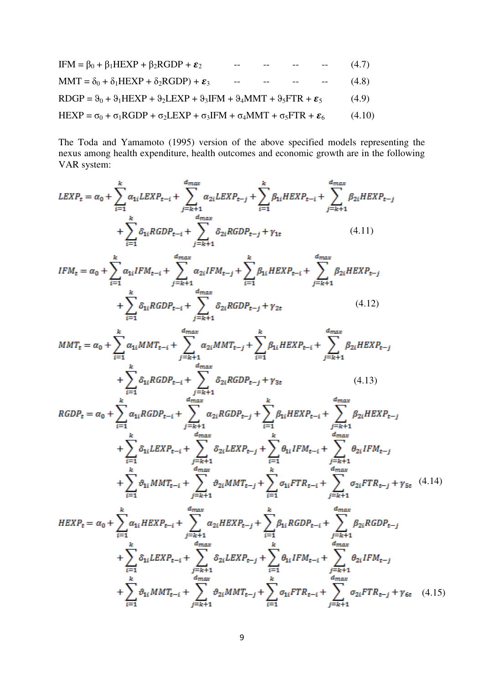$$
IFM = \beta_0 + \beta_1 HEXP + \beta_2 RGDP + \epsilon_2
$$
 -- -- -- -- (4.7)  
\n
$$
MMT = \delta_0 + \delta_1 HEXP + \delta_2 RGDP) + \epsilon_3
$$
 -- -- -- (4.8)  
\n
$$
ROGP = \theta_0 + \theta_1 HEXP + \theta_2 LEXP + \theta_3 IFM + \theta_4 MMT + \theta_5 FTR + \epsilon_5
$$
 (4.9)  
\n
$$
HEXP = \sigma_0 + \sigma_1 RGDP + \sigma_2 LEXP + \sigma_3 IFM + \sigma_4 MMT + \sigma_5 FTR + \epsilon_6
$$
 (4.10)

The Toda and Yamamoto (1995) version of the above specified models representing the nexus among health expenditure, health outcomes and economic growth are in the following VAR system:

$$
LEXP_{t} = \alpha_{0} + \sum_{i=1}^{k} \alpha_{1i} LEXP_{t-i} + \sum_{j=k+1}^{d_{max}} \alpha_{2i} LEXP_{t-j} + \sum_{i=1}^{k} \beta_{1i} HEXP_{t-i} + \sum_{j=k+1}^{d_{max}} \beta_{2i} HEXP_{t-j}
$$
\n
$$
+ \sum_{i=1}^{k} \delta_{1i} RGDP_{t-i} + \sum_{j=k+1}^{d_{max}} \delta_{2i} RGDP_{t-j} + \gamma_{1t} \qquad (4.11)
$$
\n
$$
IFM_{t} = \alpha_{0} + \sum_{i=1}^{k} \alpha_{1i} IFM_{t-i} + \sum_{j=k+1}^{d_{max}} \alpha_{2i} IFM_{t-j} + \sum_{i=1}^{k} \beta_{1i} HEXP_{t-i} + \sum_{j=k+1}^{d_{max}} \beta_{2i} HEXP_{t-j}
$$
\n
$$
+ \sum_{i=1}^{k} \delta_{1i} RGDP_{t-i} + \sum_{j=k+1}^{d_{max}} \delta_{2i} RGDP_{t-j} + \gamma_{2t} \qquad (4.12)
$$
\n
$$
MMT_{t} = \alpha_{0} + \sum_{i=1}^{k} \alpha_{1i} MMT_{t-i} + \sum_{j=k+1}^{d_{max}} \alpha_{2i} MMT_{t-j} + \sum_{i=1}^{k} \beta_{1i} HEXP_{t-i} + \sum_{j=k+1}^{d_{max}} \beta_{2i} HEXP_{t-j}
$$
\n
$$
+ \sum_{i=1}^{k} \delta_{1i} RGDP_{t-i} + \sum_{j=k+1}^{d_{max}} \delta_{2i} RGDP_{t-j} + \gamma_{3t} \qquad (4.13)
$$
\n
$$
RGDP_{t} = \alpha_{0} + \sum_{i=1}^{k} \alpha_{1i} RGDP_{t-i} + \sum_{j=k+1}^{d_{max}} \alpha_{2i} RGDP_{t-j} + \sum_{i=1}^{k} \beta_{1i} HEXP_{t-i} + \sum_{j=k+1}^{d_{max}} \beta_{2i} HEXP_{t-j}
$$
\n
$$
+ \sum_{i=1}^{k} \delta_{1i} LEXP_{t-i} + \sum_{j=k+1}^{d_{max}} \delta_{2i} LEXP_{t-j} + \sum_{i=1
$$

$$
HEXP_{t} = \alpha_{0} + \sum_{i=1}^{k} \alpha_{1i} HEXP_{t-i} + \sum_{j=k+1}^{d_{max}} \alpha_{2i} HEXP_{t-j} + \sum_{i=1}^{k} \beta_{1i} RGDP_{t-i} + \sum_{j=k+1}^{d_{max}} \beta_{2i} RGDP_{t-j} + \sum_{i=1}^{k} \delta_{1i} LEXP_{t-i} + \sum_{j=k+1}^{d_{max}} \delta_{2i} LEXP_{t-j} + \sum_{i=1}^{k} \theta_{1i} IFM_{t-i} + \sum_{j=k+1}^{d_{max}} \theta_{2i} IFM_{t-j} + \sum_{i=1}^{k} \theta_{1i} MMT_{t-i} + \sum_{j=k+1}^{d_{max}} \theta_{2i} MMT_{t-j} + \sum_{i=1}^{k} \sigma_{1i} FTR_{t-i} + \sum_{j=k+1}^{d_{max}} \sigma_{2i} FTR_{t-j} + \gamma_{6t} \quad (4.15)
$$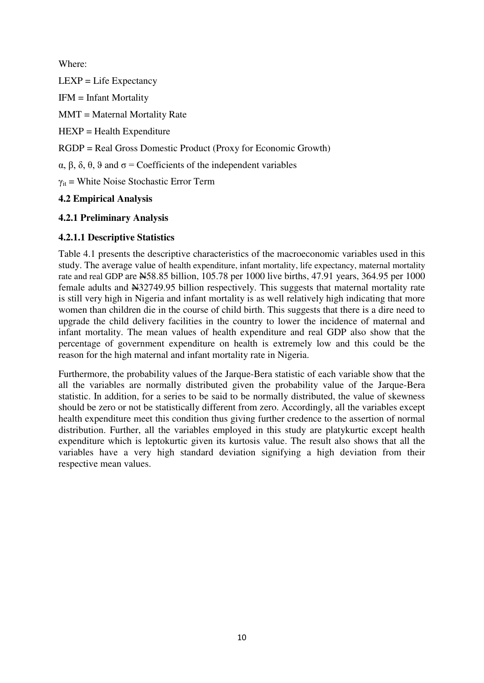Where:

 $LEXP = Life Expectancy$ 

IFM = Infant Mortality

MMT = Maternal Mortality Rate

 $HEXP = Health Expenditure$ 

RGDP = Real Gross Domestic Product (Proxy for Economic Growth)

α, β, δ, θ, ϑ and σ = Coefficients of the independent variables

 $\gamma_{it}$  = White Noise Stochastic Error Term

# **4.2 Empirical Analysis**

# **4.2.1 Preliminary Analysis**

# **4.2.1.1 Descriptive Statistics**

Table 4.1 presents the descriptive characteristics of the macroeconomic variables used in this study. The average value of health expenditure, infant mortality, life expectancy, maternal mortality rate and real GDP are N58.85 billion, 105.78 per 1000 live births, 47.91 years, 364.95 per 1000 female adults and N32749.95 billion respectively. This suggests that maternal mortality rate is still very high in Nigeria and infant mortality is as well relatively high indicating that more women than children die in the course of child birth. This suggests that there is a dire need to upgrade the child delivery facilities in the country to lower the incidence of maternal and infant mortality. The mean values of health expenditure and real GDP also show that the percentage of government expenditure on health is extremely low and this could be the reason for the high maternal and infant mortality rate in Nigeria.

Furthermore, the probability values of the Jarque-Bera statistic of each variable show that the all the variables are normally distributed given the probability value of the Jarque-Bera statistic. In addition, for a series to be said to be normally distributed, the value of skewness should be zero or not be statistically different from zero. Accordingly, all the variables except health expenditure meet this condition thus giving further credence to the assertion of normal distribution. Further, all the variables employed in this study are platykurtic except health expenditure which is leptokurtic given its kurtosis value. The result also shows that all the variables have a very high standard deviation signifying a high deviation from their respective mean values.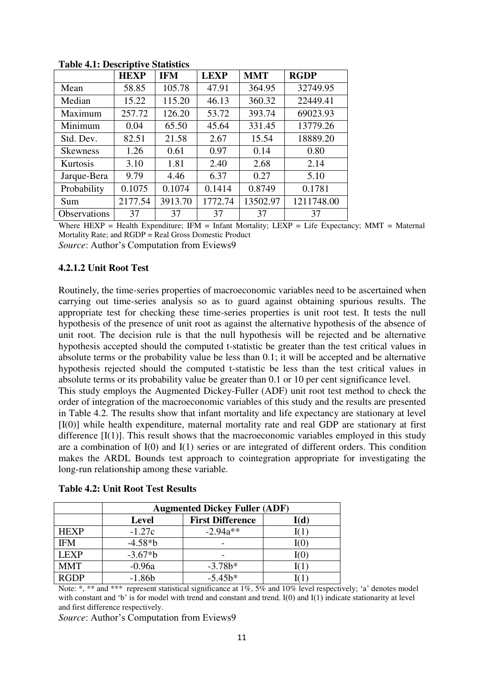|                     | <b>HEXP</b> | <b>IFM</b> | <b>LEXP</b> | <b>MMT</b> | <b>RGDP</b> |
|---------------------|-------------|------------|-------------|------------|-------------|
| Mean                | 58.85       | 105.78     | 47.91       | 364.95     | 32749.95    |
| Median              | 15.22       | 115.20     | 46.13       | 360.32     | 22449.41    |
| Maximum             | 257.72      | 126.20     | 53.72       | 393.74     | 69023.93    |
| Minimum             | 0.04        | 65.50      | 45.64       | 331.45     | 13779.26    |
| Std. Dev.           | 82.51       | 21.58      | 2.67        | 15.54      | 18889.20    |
| <b>Skewness</b>     | 1.26        | 0.61       | 0.97        | 0.14       | 0.80        |
| Kurtosis            | 3.10        | 1.81       | 2.40        | 2.68       | 2.14        |
| Jarque-Bera         | 9.79        | 4.46       | 6.37        | 0.27       | 5.10        |
| Probability         | 0.1075      | 0.1074     | 0.1414      | 0.8749     | 0.1781      |
| Sum                 | 2177.54     | 3913.70    | 1772.74     | 13502.97   | 1211748.00  |
| <b>Observations</b> | 37          | 37         | 37          | 37         | 37          |

**Table 4.1: Descriptive Statistics** 

Where  $HEXP = Health Expenditure$ ;  $IFM = Infant Mortality$ ;  $LEXP = Life Expectancy$ ;  $MMT = Maternal$ Mortality Rate; and RGDP = Real Gross Domestic Product

*Source*: Author's Computation from Eviews9

## **4.2.1.2 Unit Root Test**

Routinely, the time-series properties of macroeconomic variables need to be ascertained when carrying out time-series analysis so as to guard against obtaining spurious results. The appropriate test for checking these time-series properties is unit root test. It tests the null hypothesis of the presence of unit root as against the alternative hypothesis of the absence of unit root. The decision rule is that the null hypothesis will be rejected and be alternative hypothesis accepted should the computed t-statistic be greater than the test critical values in absolute terms or the probability value be less than 0.1; it will be accepted and be alternative hypothesis rejected should the computed t-statistic be less than the test critical values in absolute terms or its probability value be greater than 0.1 or 10 per cent significance level.

This study employs the Augmented Dickey-Fuller (ADF) unit root test method to check the order of integration of the macroeconomic variables of this study and the results are presented in Table 4.2. The results show that infant mortality and life expectancy are stationary at level [I(0)] while health expenditure, maternal mortality rate and real GDP are stationary at first difference  $[I(1)]$ . This result shows that the macroeconomic variables employed in this study are a combination of  $I(0)$  and  $I(1)$  series or are integrated of different orders. This condition makes the ARDL Bounds test approach to cointegration appropriate for investigating the long-run relationship among these variable.

|             | <b>Augmented Dickey Fuller (ADF)</b> |                         |      |  |  |  |  |
|-------------|--------------------------------------|-------------------------|------|--|--|--|--|
|             | <b>Level</b>                         | <b>First Difference</b> | I(d) |  |  |  |  |
| <b>HEXP</b> | $-1.27c$                             | $-2.94a**$              |      |  |  |  |  |
| <b>IFM</b>  | $-4.58*b$                            |                         | I(O  |  |  |  |  |
| <b>LEXP</b> | $-3.67*b$                            |                         | I(0) |  |  |  |  |
| <b>MMT</b>  | $-0.96a$                             | $-3.78b*$               |      |  |  |  |  |
| <b>RGDP</b> | $-1.86b$                             | $-5.45b*$               |      |  |  |  |  |

|  |  | <b>Table 4.2: Unit Root Test Results</b> |
|--|--|------------------------------------------|
|--|--|------------------------------------------|

Note: \*, \*\* and \*\*\* represent statistical significance at 1%, 5% and 10% level respectively; 'a' denotes model with constant and 'b' is for model with trend and constant and trend. I(0) and I(1) indicate stationarity at level and first difference respectively.

*Source*: Author's Computation from Eviews9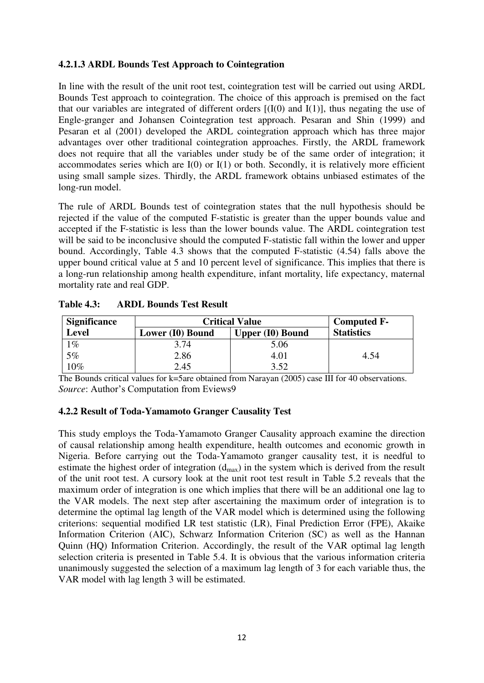## **4.2.1.3 ARDL Bounds Test Approach to Cointegration**

In line with the result of the unit root test, cointegration test will be carried out using ARDL Bounds Test approach to cointegration. The choice of this approach is premised on the fact that our variables are integrated of different orders  $[(I(0)$  and  $I(1)]$ , thus negating the use of Engle-granger and Johansen Cointegration test approach. Pesaran and Shin (1999) and Pesaran et al (2001) developed the ARDL cointegration approach which has three major advantages over other traditional cointegration approaches. Firstly, the ARDL framework does not require that all the variables under study be of the same order of integration; it accommodates series which are  $I(0)$  or  $I(1)$  or both. Secondly, it is relatively more efficient using small sample sizes. Thirdly, the ARDL framework obtains unbiased estimates of the long-run model.

The rule of ARDL Bounds test of cointegration states that the null hypothesis should be rejected if the value of the computed F-statistic is greater than the upper bounds value and accepted if the F-statistic is less than the lower bounds value. The ARDL cointegration test will be said to be inconclusive should the computed F-statistic fall within the lower and upper bound. Accordingly, Table 4.3 shows that the computed F-statistic (4.54) falls above the upper bound critical value at 5 and 10 percent level of significance. This implies that there is a long-run relationship among health expenditure, infant mortality, life expectancy, maternal mortality rate and real GDP.

| <b>Significance</b> | <b>Critical Value</b>                       | <b>Computed F-</b> |                   |
|---------------------|---------------------------------------------|--------------------|-------------------|
| <b>Level</b>        | <b>Upper (I0) Bound</b><br>Lower (I0) Bound |                    | <b>Statistics</b> |
| $1\%$               | 3.74                                        | 5.06               |                   |
| 5%                  | 2.86                                        | 4.01               | 4.54              |
| $10\%$              | 2.45                                        | 3.52               |                   |

| <b>Table 4.3:</b> |  | <b>ARDL Bounds Test Result</b> |  |  |
|-------------------|--|--------------------------------|--|--|
|-------------------|--|--------------------------------|--|--|

The Bounds critical values for k=5are obtained from Narayan (2005) case III for 40 observations. *Source*: Author's Computation from Eviews9

## **4.2.2 Result of Toda-Yamamoto Granger Causality Test**

This study employs the Toda-Yamamoto Granger Causality approach examine the direction of causal relationship among health expenditure, health outcomes and economic growth in Nigeria. Before carrying out the Toda-Yamamoto granger causality test, it is needful to estimate the highest order of integration  $(d_{max})$  in the system which is derived from the result of the unit root test. A cursory look at the unit root test result in Table 5.2 reveals that the maximum order of integration is one which implies that there will be an additional one lag to the VAR models. The next step after ascertaining the maximum order of integration is to determine the optimal lag length of the VAR model which is determined using the following criterions: sequential modified LR test statistic (LR), Final Prediction Error (FPE), Akaike Information Criterion (AIC), Schwarz Information Criterion (SC) as well as the Hannan Quinn (HQ) Information Criterion. Accordingly, the result of the VAR optimal lag length selection criteria is presented in Table 5.4. It is obvious that the various information criteria unanimously suggested the selection of a maximum lag length of 3 for each variable thus, the VAR model with lag length 3 will be estimated.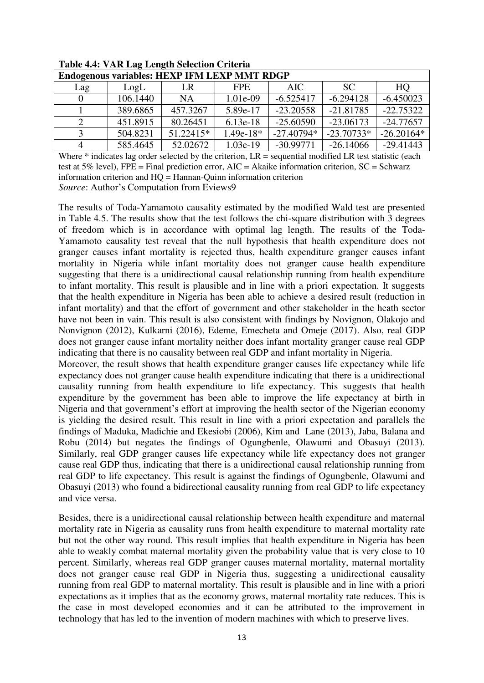| Endogenous variables: HEXP IFM LEXP MMT RDGP |          |           |             |              |              |              |  |  |
|----------------------------------------------|----------|-----------|-------------|--------------|--------------|--------------|--|--|
| Lag                                          | LogL     | LR        | FPE.        | AIC.         | SC.          | HQ           |  |  |
|                                              | 106.1440 | <b>NA</b> | 1.01e-09    | $-6.525417$  | $-6.294128$  | $-6.450023$  |  |  |
|                                              | 389.6865 | 457.3267  | 5.89e-17    | $-23.20558$  | $-21.81785$  | $-22.75322$  |  |  |
|                                              | 451.8915 | 80.26451  | $6.13e-18$  | $-25.60590$  | $-23.06173$  | $-24.77657$  |  |  |
|                                              | 504.8231 | 51.22415* | $1.49e-18*$ | $-27.40794*$ | $-23.70733*$ | $-26.20164*$ |  |  |
|                                              | 585.4645 | 52.02672  | $1.03e-19$  | $-30.99771$  | $-26.14066$  | $-29.41443$  |  |  |

**Table 4.4: VAR Lag Length Selection Criteria** 

Where  $*$  indicates lag order selected by the criterion,  $LR =$  sequential modified LR test statistic (each test at 5% level), FPE = Final prediction error, AIC = Akaike information criterion,  $SC =$  Schwarz information criterion and HQ = Hannan-Quinn information criterion

*Source*: Author's Computation from Eviews9

The results of Toda-Yamamoto causality estimated by the modified Wald test are presented in Table 4.5. The results show that the test follows the chi-square distribution with 3 degrees of freedom which is in accordance with optimal lag length. The results of the Toda-Yamamoto causality test reveal that the null hypothesis that health expenditure does not granger causes infant mortality is rejected thus, health expenditure granger causes infant mortality in Nigeria while infant mortality does not granger cause health expenditure suggesting that there is a unidirectional causal relationship running from health expenditure to infant mortality. This result is plausible and in line with a priori expectation. It suggests that the health expenditure in Nigeria has been able to achieve a desired result (reduction in infant mortality) and that the effort of government and other stakeholder in the heath sector have not been in vain. This result is also consistent with findings by Novignon, Olakojo and Nonvignon (2012), Kulkarni (2016), Edeme, Emecheta and Omeje (2017). Also, real GDP does not granger cause infant mortality neither does infant mortality granger cause real GDP indicating that there is no causality between real GDP and infant mortality in Nigeria.

Moreover, the result shows that health expenditure granger causes life expectancy while life expectancy does not granger cause health expenditure indicating that there is a unidirectional causality running from health expenditure to life expectancy. This suggests that health expenditure by the government has been able to improve the life expectancy at birth in Nigeria and that government's effort at improving the health sector of the Nigerian economy is yielding the desired result. This result in line with a priori expectation and parallels the findings of Maduka, Madichie and Ekesiobi (2006), Kim and Lane (2013), Jaba, Balana and Robu (2014) but negates the findings of Ogungbenle, Olawumi and Obasuyi (2013). Similarly, real GDP granger causes life expectancy while life expectancy does not granger cause real GDP thus, indicating that there is a unidirectional causal relationship running from real GDP to life expectancy. This result is against the findings of Ogungbenle, Olawumi and Obasuyi (2013) who found a bidirectional causality running from real GDP to life expectancy and vice versa.

Besides, there is a unidirectional causal relationship between health expenditure and maternal mortality rate in Nigeria as causality runs from health expenditure to maternal mortality rate but not the other way round. This result implies that health expenditure in Nigeria has been able to weakly combat maternal mortality given the probability value that is very close to 10 percent. Similarly, whereas real GDP granger causes maternal mortality, maternal mortality does not granger cause real GDP in Nigeria thus, suggesting a unidirectional causality running from real GDP to maternal mortality. This result is plausible and in line with a priori expectations as it implies that as the economy grows, maternal mortality rate reduces. This is the case in most developed economies and it can be attributed to the improvement in technology that has led to the invention of modern machines with which to preserve lives.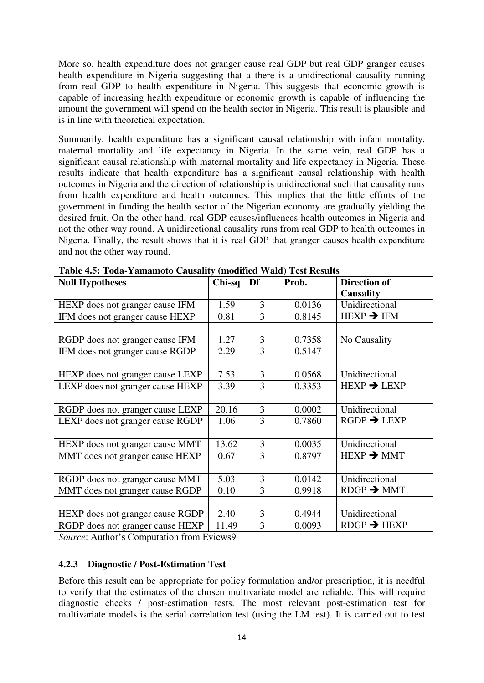More so, health expenditure does not granger cause real GDP but real GDP granger causes health expenditure in Nigeria suggesting that a there is a unidirectional causality running from real GDP to health expenditure in Nigeria. This suggests that economic growth is capable of increasing health expenditure or economic growth is capable of influencing the amount the government will spend on the health sector in Nigeria. This result is plausible and is in line with theoretical expectation.

Summarily, health expenditure has a significant causal relationship with infant mortality, maternal mortality and life expectancy in Nigeria. In the same vein, real GDP has a significant causal relationship with maternal mortality and life expectancy in Nigeria. These results indicate that health expenditure has a significant causal relationship with health outcomes in Nigeria and the direction of relationship is unidirectional such that causality runs from health expenditure and health outcomes. This implies that the little efforts of the government in funding the health sector of the Nigerian economy are gradually yielding the desired fruit. On the other hand, real GDP causes/influences health outcomes in Nigeria and not the other way round. A unidirectional causality runs from real GDP to health outcomes in Nigeria. Finally, the result shows that it is real GDP that granger causes health expenditure and not the other way round.

| <b>Null Hypotheses</b>           | Chi-sq | Df | Prob.  | <b>Direction of</b>                  |
|----------------------------------|--------|----|--------|--------------------------------------|
|                                  |        |    |        | <b>Causality</b>                     |
| HEXP does not granger cause IFM  | 1.59   | 3  | 0.0136 | Unidirectional                       |
| IFM does not granger cause HEXP  | 0.81   | 3  | 0.8145 | $HEXP \rightarrow IFM$               |
|                                  |        |    |        |                                      |
| RGDP does not granger cause IFM  | 1.27   | 3  | 0.7358 | No Causality                         |
| IFM does not granger cause RGDP  | 2.29   | 3  | 0.5147 |                                      |
|                                  |        |    |        |                                      |
| HEXP does not granger cause LEXP | 7.53   | 3  | 0.0568 | Unidirectional                       |
| LEXP does not granger cause HEXP | 3.39   | 3  | 0.3353 | $HEXP \rightarrow LEXP$              |
|                                  |        |    |        |                                      |
| RGDP does not granger cause LEXP | 20.16  | 3  | 0.0002 | Unidirectional                       |
| LEXP does not granger cause RGDP | 1.06   | 3  | 0.7860 | $RGDP \rightarrow LEXP$              |
|                                  |        |    |        |                                      |
| HEXP does not granger cause MMT  | 13.62  | 3  | 0.0035 | Unidirectional                       |
| MMT does not granger cause HEXP  | 0.67   | 3  | 0.8797 | $HEXP \rightarrow MMT$               |
|                                  |        |    |        |                                      |
| RGDP does not granger cause MMT  | 5.03   | 3  | 0.0142 | Unidirectional                       |
| MMT does not granger cause RGDP  | 0.10   | 3  | 0.9918 | $R\text{DGP} \rightarrow M\text{MT}$ |
|                                  |        |    |        |                                      |
| HEXP does not granger cause RGDP | 2.40   | 3  | 0.4944 | Unidirectional                       |
| RGDP does not granger cause HEXP | 11.49  | 3  | 0.0093 | $RDGP \rightarrow HEXP$              |

**Table 4.5: Toda-Yamamoto Causality (modified Wald) Test Results** 

*Source*: Author's Computation from Eviews9

## **4.2.3 Diagnostic / Post-Estimation Test**

Before this result can be appropriate for policy formulation and/or prescription, it is needful to verify that the estimates of the chosen multivariate model are reliable. This will require diagnostic checks / post-estimation tests. The most relevant post-estimation test for multivariate models is the serial correlation test (using the LM test). It is carried out to test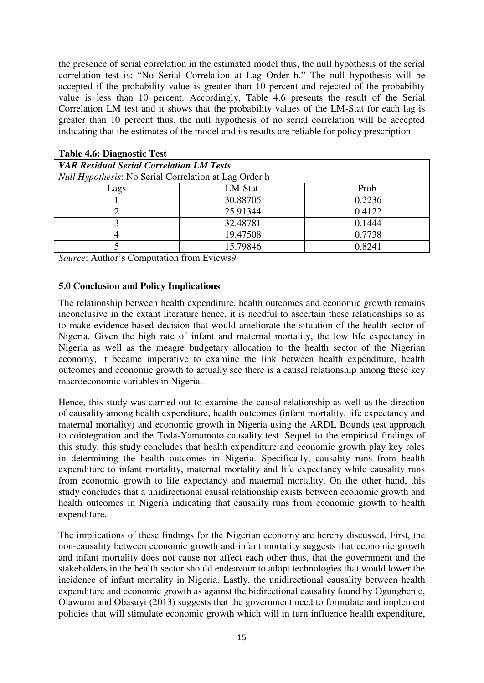the presence of serial correlation in the estimated model thus, the null hypothesis of the serial correlation test is: "No Serial Correlation at Lag Order h." The null hypothesis will be accepted if the probability value is greater than 10 percent and rejected of the probability value is less than 10 percent. Accordingly, Table 4.6 presents the result of the Serial Correlation LM test and it shows that the probability values of the LM-Stat for each lag is greater than 10 percent thus, the null hypothesis of no serial correlation will be accepted indicating that the estimates of the model and its results are reliable for policy prescription.

| <b>VAR Residual Serial Correlation LM Tests</b>              |          |        |  |  |  |  |
|--------------------------------------------------------------|----------|--------|--|--|--|--|
| <i>Null Hypothesis:</i> No Serial Correlation at Lag Order h |          |        |  |  |  |  |
| Lags                                                         | LM-Stat  | Prob   |  |  |  |  |
|                                                              | 30.88705 | 0.2236 |  |  |  |  |
|                                                              | 25.91344 | 0.4122 |  |  |  |  |
|                                                              | 32.48781 | 0.1444 |  |  |  |  |
|                                                              | 19.47508 | 0.7738 |  |  |  |  |
|                                                              | 15.79846 | 0.8241 |  |  |  |  |

| <b>Table 4.6: Diagnostic Test</b> |  |  |  |  |
|-----------------------------------|--|--|--|--|
|-----------------------------------|--|--|--|--|

*Source*: Author's Computation from Eviews9

## **5.0 Conclusion and Policy Implications**

The relationship between health expenditure, health outcomes and economic growth remains inconclusive in the extant literature hence, it is needful to ascertain these relationships so as to make evidence-based decision that would ameliorate the situation of the health sector of Nigeria. Given the high rate of infant and maternal mortality, the low life expectancy in Nigeria as well as the meagre budgetary allocation to the health sector of the Nigerian economy, it became imperative to examine the link between health expenditure, health outcomes and economic growth to actually see there is a causal relationship among these key macroeconomic variables in Nigeria.

Hence, this study was carried out to examine the causal relationship as well as the direction of causality among health expenditure, health outcomes (infant mortality, life expectancy and maternal mortality) and economic growth in Nigeria using the ARDL Bounds test approach to cointegration and the Toda-Yamamoto causality test. Sequel to the empirical findings of this study, this study concludes that health expenditure and economic growth play key roles in determining the health outcomes in Nigeria. Specifically, causality runs from health expenditure to infant mortality, maternal mortality and life expectancy while causality runs from economic growth to life expectancy and maternal mortality. On the other hand, this study concludes that a unidirectional causal relationship exists between economic growth and health outcomes in Nigeria indicating that causality runs from economic growth to health expenditure.

The implications of these findings for the Nigerian economy are hereby discussed. First, the non-causality between economic growth and infant mortality suggests that economic growth and infant mortality does not cause nor affect each other thus, that the government and the stakeholders in the health sector should endeavour to adopt technologies that would lower the incidence of infant mortality in Nigeria. Lastly, the unidirectional causality between health expenditure and economic growth as against the bidirectional causality found by Ogungbenle, Olawumi and Obasuyi (2013) suggests that the government need to formulate and implement policies that will stimulate economic growth which will in turn influence health expenditure,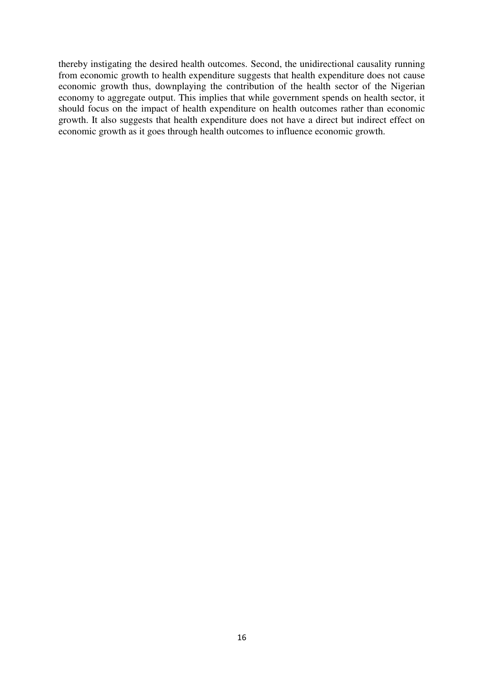thereby instigating the desired health outcomes. Second, the unidirectional causality running from economic growth to health expenditure suggests that health expenditure does not cause economic growth thus, downplaying the contribution of the health sector of the Nigerian economy to aggregate output. This implies that while government spends on health sector, it should focus on the impact of health expenditure on health outcomes rather than economic growth. It also suggests that health expenditure does not have a direct but indirect effect on economic growth as it goes through health outcomes to influence economic growth.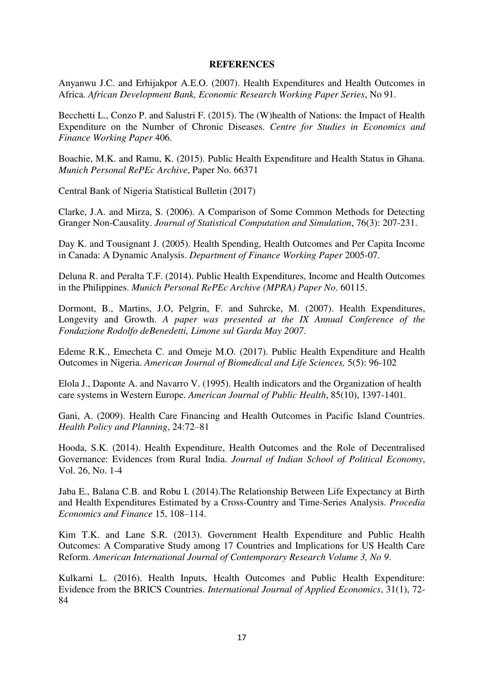#### **REFERENCES**

Anyanwu J.C. and Erhijakpor A.E.O. (2007). Health Expenditures and Health Outcomes in Africa. *African Development Bank, Economic Research Working Paper Series*, No 91.

Becchetti L., Conzo P. and Salustri F. (2015). The (W)health of Nations: the Impact of Health Expenditure on the Number of Chronic Diseases. *Centre for Studies in Economics and Finance Working Paper* 406.

Boachie, M.K. and Ramu, K. (2015). Public Health Expenditure and Health Status in Ghana. *Munich Personal RePEc Archive*, Paper No. 66371

Central Bank of Nigeria Statistical Bulletin (2017)

Clarke, J.A. and Mirza, S. (2006). A Comparison of Some Common Methods for Detecting Granger Non-Causality. *Journal of Statistical Computation and Simulation*, 76(3): 207-231.

Day K. and Tousignant J. (2005). Health Spending, Health Outcomes and Per Capita Income in Canada: A Dynamic Analysis. *Department of Finance Working Paper* 2005-07.

Deluna R. and Peralta T.F. (2014). Public Health Expenditures, Income and Health Outcomes in the Philippines. *Munich Personal RePEc Archive (MPRA) Paper No*. 60115.

Dormont, B., Martins, J.O, Pelgrin, F. and Suhrcke, M. (2007). Health Expenditures, Longevity and Growth. *A paper was presented at the IX Annual Conference of the Fondazione Rodolfo deBenedetti, Limone sul Garda May 2007*.

Edeme R.K., Emecheta C. and Omeje M.O. (2017). Public Health Expenditure and Health Outcomes in Nigeria. *American Journal of Biomedical and Life Sciences,* 5(5): 96-102

Elola J., Daponte A. and Navarro V. (1995). Health indicators and the Organization of health care systems in Western Europe. *American Journal of Public Health*, 85(10), 1397-1401.

Gani, A. (2009). Health Care Financing and Health Outcomes in Pacific Island Countries. *Health Policy and Planning*, 24:72–81

Hooda, S.K. (2014). Health Expenditure, Health Outcomes and the Role of Decentralised Governance: Evidences from Rural India. *Journal of Indian School of Political Economy*, Vol. 26, No. 1-4

Jaba E., Balana C.B. and Robu I. (2014).The Relationship Between Life Expectancy at Birth and Health Expenditures Estimated by a Cross-Country and Time-Series Analysis. *Procedia Economics and Finance* 15, 108–114.

Kim T.K. and Lane S.R. (2013). Government Health Expenditure and Public Health Outcomes: A Comparative Study among 17 Countries and Implications for US Health Care Reform. *American International Journal of Contemporary Research Volume 3, No 9*.

Kulkarni L. (2016). Health Inputs, Health Outcomes and Public Health Expenditure: Evidence from the BRICS Countries. *International Journal of Applied Economics*, 31(1), 72- 84